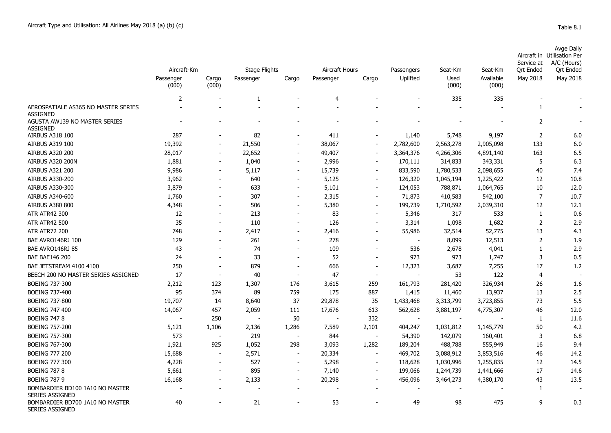| Avge Daily                  |
|-----------------------------|
| Aircraft in Utilisation Per |
| Service at A/C (Hours)      |

|                                                           | Aircraft-Km        |                          | <b>Stage Flights</b> |                          | Aircraft Hours |                          | Passengers               | Seat-Km       | Seat-Km            | sei vice al<br><b>Qrt Ended</b> | $A/C$ (Figure)<br><b>Qrt Ended</b> |
|-----------------------------------------------------------|--------------------|--------------------------|----------------------|--------------------------|----------------|--------------------------|--------------------------|---------------|--------------------|---------------------------------|------------------------------------|
|                                                           | Passenger<br>(000) | Cargo<br>(000)           | Passenger            | Cargo                    | Passenger      | Cargo                    | Uplifted                 | Used<br>(000) | Available<br>(000) | May 2018                        | May 2018                           |
|                                                           | 2                  |                          | -1                   |                          | $\overline{4}$ |                          |                          | 335           | 335                |                                 |                                    |
| AEROSPATIALE AS365 NO MASTER SERIES<br><b>ASSIGNED</b>    |                    |                          |                      |                          |                |                          |                          |               |                    | 1                               |                                    |
| AGUSTA AW139 NO MASTER SERIES<br><b>ASSIGNED</b>          |                    |                          |                      |                          |                |                          |                          |               |                    | $\overline{2}$                  |                                    |
| <b>AIRBUS A318 100</b>                                    | 287                |                          | 82                   |                          | 411            |                          | 1,140                    | 5,748         | 9,197              | 2                               | 6.0                                |
| <b>AIRBUS A319 100</b>                                    | 19,392             |                          | 21,550               |                          | 38,067         | $\overline{\phantom{a}}$ | 2,782,600                | 2,563,278     | 2,905,098          | 133                             | 6.0                                |
| <b>AIRBUS A320 200</b>                                    | 28,017             |                          | 22,652               | $\overline{\phantom{a}}$ | 49,407         | $\blacksquare$           | 3,364,376                | 4,266,306     | 4,891,140          | 163                             | 6.5                                |
| AIRBUS A320 200N                                          | 1,881              |                          | 1,040                | $\overline{\phantom{a}}$ | 2,996          |                          | 170,111                  | 314,833       | 343,331            | 5                               | 6.3                                |
| AIRBUS A321 200                                           | 9,986              |                          | 5,117                | $\blacksquare$           | 15,739         | $\blacksquare$           | 833,590                  | 1,780,533     | 2,098,655          | 40                              | 7.4                                |
| <b>AIRBUS A330-200</b>                                    | 3,962              |                          | 640                  | $\overline{\phantom{a}}$ | 5,125          | $\overline{\phantom{a}}$ | 126,320                  | 1,045,194     | 1,225,422          | 12                              | 10.8                               |
| AIRBUS A330-300                                           | 3,879              |                          | 633                  | $\overline{\phantom{a}}$ | 5,101          | $\blacksquare$           | 124,053                  | 788,871       | 1,064,765          | 10                              | 12.0                               |
| AIRBUS A340-600                                           | 1,760              |                          | 307                  | $\overline{\phantom{a}}$ | 2,315          | $\overline{\phantom{a}}$ | 71,873                   | 410,583       | 542,100            | $\overline{7}$                  | 10.7                               |
| <b>AIRBUS A380 800</b>                                    | 4,348              |                          | 506                  | $\blacksquare$           | 5,380          | $\blacksquare$           | 199,739                  | 1,710,592     | 2,039,310          | 12                              | 12.1                               |
| <b>ATR ATR42 300</b>                                      | 12                 |                          | 213                  |                          | 83             |                          | 5,346                    | 317           | 533                | 1                               | 0.6                                |
| <b>ATR ATR42 500</b>                                      | 35                 |                          | 110                  |                          | 126            |                          | 3,314                    | 1,098         | 1,682              | $\overline{2}$                  | 2.9                                |
| <b>ATR ATR72 200</b>                                      | 748                |                          | 2,417                | $\overline{\phantom{a}}$ | 2,416          |                          | 55,986                   | 32,514        | 52,775             | 13                              | 4.3                                |
| BAE AVRO146RJ 100                                         | 129                |                          | 261                  | $\blacksquare$           | 278            |                          | $\overline{\phantom{a}}$ | 8,099         | 12,513             | $\overline{2}$                  | 1.9                                |
| BAE AVRO146RJ 85                                          | 43                 |                          | 74                   | $\blacksquare$           | 109            |                          | 536                      | 2,678         | 4,041              | $\mathbf{1}$                    | 2.9                                |
| <b>BAE BAE146 200</b>                                     | 24                 |                          | 33                   |                          | 52             |                          | 973                      | 973           | 1,747              | 3                               | 0.5                                |
| BAE JETSTREAM 4100 4100                                   | 250                |                          | 879                  |                          | 666            | $\blacksquare$           | 12,323                   | 3,687         | 7,255              | 17                              | 1.2                                |
| BEECH 200 NO MASTER SERIES ASSIGNED                       | 17                 | $\overline{\phantom{a}}$ | 40                   |                          | 47             | $\blacksquare$           |                          | 53            | 122                | 4                               |                                    |
| <b>BOEING 737-300</b>                                     | 2,212              | 123                      | 1,307                | 176                      | 3,615          | 259                      | 161,793                  | 281,420       | 326,934            | 26                              | 1.6                                |
| <b>BOEING 737-400</b>                                     | 95                 | 374                      | 89                   | 759                      | 175            | 887                      | 1,415                    | 11,460        | 13,937             | 13                              | 2.5                                |
| <b>BOEING 737-800</b>                                     | 19,707             | 14                       | 8,640                | 37                       | 29,878         | 35                       | 1,433,468                | 3,313,799     | 3,723,855          | 73                              | 5.5                                |
| <b>BOEING 747 400</b>                                     | 14,067             | 457                      | 2,059                | 111                      | 17,676         | 613                      | 562,628                  | 3,881,197     | 4,775,307          | 46                              | 12.0                               |
| <b>BOEING 747 8</b>                                       |                    | 250                      | $\blacksquare$       | 50                       |                | 332                      |                          | $\sim$        |                    | 1                               | 11.6                               |
| <b>BOEING 757-200</b>                                     | 5,121              | 1,106                    | 2,136                | 1,286                    | 7,589          | 2,101                    | 404,247                  | 1,031,812     | 1,145,779          | 50                              | 4.2                                |
| <b>BOEING 757-300</b>                                     | 573                |                          | 219                  | $\blacksquare$           | 844            | $\blacksquare$           | 54,390                   | 142,079       | 160,401            | 3                               | 6.8                                |
| <b>BOEING 767-300</b>                                     | 1,921              | 925                      | 1,052                | 298                      | 3,093          | 1,282                    | 189,204                  | 488,788       | 555,949            | 16                              | 9.4                                |
| <b>BOEING 777 200</b>                                     | 15,688             |                          | 2,571                | $\overline{\phantom{a}}$ | 20,334         | $\overline{\phantom{a}}$ | 469,702                  | 3,088,912     | 3,853,516          | 46                              | 14.2                               |
| <b>BOEING 777 300</b>                                     | 4,228              |                          | 527                  | $\overline{\phantom{a}}$ | 5,298          | $\blacksquare$           | 118,628                  | 1,030,996     | 1,255,835          | 12                              | 14.5                               |
| <b>BOEING 787 8</b>                                       | 5,661              |                          | 895                  | $\overline{\phantom{a}}$ | 7,140          | $\overline{\phantom{a}}$ | 199,066                  | 1,244,739     | 1,441,666          | 17                              | 14.6                               |
| <b>BOEING 787 9</b>                                       | 16,168             |                          | 2,133                | $\overline{\phantom{a}}$ | 20,298         | $\overline{\phantom{a}}$ | 456,096                  | 3,464,273     | 4,380,170          | 43                              | 13.5                               |
| BOMBARDIER BD100 1A10 NO MASTER<br>SERIES ASSIGNED        |                    |                          |                      |                          |                |                          |                          |               |                    | 1                               |                                    |
| BOMBARDIER BD700 1A10 NO MASTER<br><b>SERIES ASSIGNED</b> | 40                 |                          | 21                   |                          | 53             |                          | 49                       | 98            | 475                | 9                               | 0.3                                |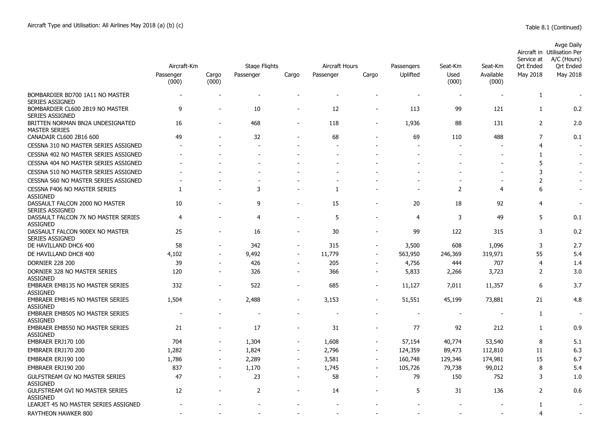|                                                           | Aircraft-Km        |                | Stage Flights | Aircraft Hours           |           | Passengers               | Seat-Km                  | Seat-Km       | Service at<br>Ort Ended  | Avge Daily<br>Aircraft in Utilisation Per<br>A/C (Hours)<br>Ort Ended |                          |
|-----------------------------------------------------------|--------------------|----------------|---------------|--------------------------|-----------|--------------------------|--------------------------|---------------|--------------------------|-----------------------------------------------------------------------|--------------------------|
|                                                           | Passenger<br>(000) | Cargo<br>(000) | Passenger     | Cargo                    | Passenger | Cargo                    | Uplifted                 | Used<br>(000) | Available<br>(000)       | May 2018                                                              | May 2018                 |
| BOMBARDIER BD700 1A11 NO MASTER<br><b>SERIES ASSIGNED</b> |                    |                |               |                          |           |                          |                          |               |                          | 1                                                                     |                          |
| BOMBARDIER CL600 2B19 NO MASTER<br><b>SERIES ASSIGNED</b> | 9                  |                | 10            |                          | 12        |                          | 113                      | 99            | 121                      | $\mathbf{1}$                                                          | 0.2                      |
| BRITTEN NORMAN BN2A UNDESIGNATED<br><b>MASTER SERIES</b>  | 16                 | $\overline{a}$ | 468           | $\overline{\phantom{a}}$ | 118       | $\overline{\phantom{0}}$ | 1,936                    | 88            | 131                      | $\overline{2}$                                                        | 2.0                      |
| CANADAIR CL600 2B16 600                                   | 49                 |                | 32            |                          | 68        |                          | 69                       | 110           | 488                      | $\overline{7}$                                                        | 0.1                      |
| CESSNA 310 NO MASTER SERIES ASSIGNED                      |                    |                |               |                          |           |                          |                          |               |                          | $\overline{4}$                                                        |                          |
| CESSNA 402 NO MASTER SERIES ASSIGNED                      |                    |                |               |                          |           |                          |                          |               |                          | 1                                                                     |                          |
| CESSNA 404 NO MASTER SERIES ASSIGNED                      |                    |                |               |                          |           |                          |                          |               |                          | 5                                                                     |                          |
| CESSNA 510 NO MASTER SERIES ASSIGNED                      |                    |                |               |                          |           |                          |                          |               |                          | 3                                                                     |                          |
| CESSNA 560 NO MASTER SERIES ASSIGNED                      |                    |                |               |                          |           |                          |                          |               | $\overline{\phantom{a}}$ | $\overline{2}$                                                        | $\overline{\phantom{a}}$ |
| <b>CESSNA F406 NO MASTER SERIES</b><br><b>ASSIGNED</b>    | 1                  |                | 3             |                          | 1         |                          | $\overline{\phantom{a}}$ | 2             | $\overline{4}$           | 6                                                                     | $\overline{\phantom{a}}$ |
| DASSAULT FALCON 2000 NO MASTER<br><b>SERIES ASSIGNED</b>  | 10                 |                | 9             | $\overline{a}$           | 15        |                          | 20                       | 18            | 92                       | $\overline{4}$                                                        | $\blacksquare$           |
| DASSAULT FALCON 7X NO MASTER SERIES<br><b>ASSIGNED</b>    | 4                  |                | 4             |                          | 5         |                          | 4                        | 3             | 49                       | 5                                                                     | 0.1                      |
| DASSAULT FALCON 900EX NO MASTER<br><b>SERIES ASSIGNED</b> | 25                 |                | 16            | $\overline{\phantom{a}}$ | 30        |                          | 99                       | 122           | 315                      | 3                                                                     | 0.2                      |
| DE HAVILLAND DHC6 400                                     | 58                 |                | 342           | $\blacksquare$           | 315       |                          | 3,500                    | 608           | 1,096                    | 3                                                                     | 2.7                      |
| DE HAVILLAND DHC8 400                                     | 4,102              | ÷,             | 9,492         | $\overline{\phantom{a}}$ | 11,779    | $\sim$                   | 563,950                  | 246,369       | 319,971                  | 55                                                                    | 5.4                      |
| <b>DORNIER 228 200</b>                                    | 39                 | ٠              | 426           | $\blacksquare$           | 205       | $\overline{a}$           | 4,756                    | 444           | 707                      | $\overline{4}$                                                        | 1.4                      |
| DORNIER 328 NO MASTER SERIES<br><b>ASSIGNED</b>           | 120                | $\overline{a}$ | 326           | $\overline{\phantom{a}}$ | 366       | $\overline{\phantom{a}}$ | 5,833                    | 2,266         | 3,723                    | $\overline{2}$                                                        | 3.0                      |
| <b>EMBRAER EMB135 NO MASTER SERIES</b><br><b>ASSIGNED</b> | 332                | $\blacksquare$ | 522           | $\sim$                   | 685       | $\blacksquare$           | 11,127                   | 7,011         | 11,357                   | 6                                                                     | 3.7                      |
| <b>EMBRAER EMB145 NO MASTER SERIES</b><br><b>ASSIGNED</b> | 1,504              |                | 2,488         |                          | 3,153     |                          | 51,551                   | 45,199        | 73,881                   | 21                                                                    | 4.8                      |
| EMBRAER EMB505 NO MASTER SERIES<br><b>ASSIGNED</b>        |                    |                |               |                          |           |                          |                          |               |                          | $\mathbf{1}$                                                          | $\overline{\phantom{a}}$ |
| EMBRAER EMB550 NO MASTER SERIES<br><b>ASSIGNED</b>        | 21                 |                | 17            |                          | 31        |                          | 77                       | 92            | 212                      | 1                                                                     | 0.9                      |
| EMBRAER ERJ170 100                                        | 704                |                | 1,304         | $\overline{a}$           | 1,608     |                          | 57,154                   | 40,774        | 53,540                   | 8                                                                     | 5.1                      |
| EMBRAER ERJ170 200                                        | 1,282              | $\overline{a}$ | 1,824         | $\overline{\phantom{a}}$ | 2,796     | $\blacksquare$           | 124,359                  | 89,473        | 112,810                  | 11                                                                    | 6.3                      |
| EMBRAER ERJ190 100                                        | 1,786              | $\blacksquare$ | 2,289         | $\blacksquare$           | 3,581     | $\blacksquare$           | 160,748                  | 129,346       | 174,981                  | 15                                                                    | 6.7                      |
| EMBRAER ERJ190 200                                        | 837                |                | 1,170         | $\overline{\phantom{a}}$ | 1,745     |                          | 105,726                  | 79,738        | 99,012                   | 8                                                                     | 5.4                      |
| <b>GULFSTREAM GV NO MASTER SERIES</b><br><b>ASSIGNED</b>  | 47                 | $\blacksquare$ | 23            | $\overline{\phantom{a}}$ | 58        | $\blacksquare$           | 79                       | 150           | 752                      | 3                                                                     | 1.0                      |
| GULFSTREAM GVI NO MASTER SERIES<br><b>ASSIGNED</b>        | 12                 |                | 2             |                          | 14        |                          | 5                        | 31            | 136                      | $\overline{2}$                                                        | 0.6                      |
| LEARJET 45 NO MASTER SERIES ASSIGNED                      |                    |                |               |                          |           |                          |                          |               |                          | 1                                                                     |                          |
| RAYTHEON HAWKER 800                                       |                    |                |               |                          |           |                          |                          |               |                          | $\overline{4}$                                                        |                          |